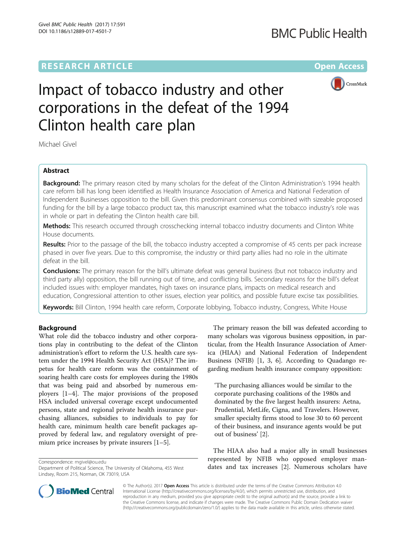## **RESEARCH ARTICLE Example 2014 12:30 The Contract of Contract ACCESS**



# Impact of tobacco industry and other corporations in the defeat of the 1994 Clinton health care plan

Michael Givel

## Abstract

**Background:** The primary reason cited by many scholars for the defeat of the Clinton Administration's 1994 health care reform bill has long been identified as Health Insurance Association of America and National Federation of Independent Businesses opposition to the bill. Given this predominant consensus combined with sizeable proposed funding for the bill by a large tobacco product tax, this manuscript examined what the tobacco industry's role was in whole or part in defeating the Clinton health care bill.

Methods: This research occurred through crosschecking internal tobacco industry documents and Clinton White House documents.

Results: Prior to the passage of the bill, the tobacco industry accepted a compromise of 45 cents per pack increase phased in over five years. Due to this compromise, the industry or third party allies had no role in the ultimate defeat in the bill.

**Conclusions:** The primary reason for the bill's ultimate defeat was general business (but not tobacco industry and third party ally) opposition, the bill running out of time, and conflicting bills. Secondary reasons for the bill's defeat included issues with: employer mandates, high taxes on insurance plans, impacts on medical research and education, Congressional attention to other issues, election year politics, and possible future excise tax possibilities.

Keywords: Bill Clinton, 1994 health care reform, Corporate lobbying, Tobacco industry, Congress, White House

## Background

What role did the tobacco industry and other corporations play in contributing to the defeat of the Clinton administration's effort to reform the U.S. health care system under the 1994 Health Security Act (HSA)? The impetus for health care reform was the containment of soaring health care costs for employees during the 1980s that was being paid and absorbed by numerous employers [[1](#page-6-0)–[4](#page-6-0)]. The major provisions of the proposed HSA included universal coverage except undocumented persons, state and regional private health insurance purchasing alliances, subsidies to individuals to pay for health care, minimum health care benefit packages approved by federal law, and regulatory oversight of premium price increases by private insurers [[1](#page-6-0)–[5\]](#page-6-0).

The primary reason the bill was defeated according to many scholars was vigorous business opposition, in particular, from the Health Insurance Association of America (HIAA) and National Federation of Independent Business (NFIB) [[1](#page-6-0), [3](#page-6-0), [6](#page-6-0)]. According to Quadango regarding medium health insurance company opposition:

'The purchasing alliances would be similar to the corporate purchasing coalitions of the 1980s and dominated by the five largest health insurers: Aetna, Prudential, MetLife, Cigna, and Travelers. However, smaller specialty firms stood to lose 30 to 60 percent of their business, and insurance agents would be put out of business' [[2\]](#page-6-0).

The HIAA also had a major ally in small businesses represented by NFIB who opposed employer mandates and tax increases [[2\]](#page-6-0). Numerous scholars have Correspondence: [mgivel@ou.edu](mailto:mgivel@ou.edu)



© The Author(s). 2017 **Open Access** This article is distributed under the terms of the Creative Commons Attribution 4.0 International License [\(http://creativecommons.org/licenses/by/4.0/](http://creativecommons.org/licenses/by/4.0/)), which permits unrestricted use, distribution, and reproduction in any medium, provided you give appropriate credit to the original author(s) and the source, provide a link to the Creative Commons license, and indicate if changes were made. The Creative Commons Public Domain Dedication waiver [\(http://creativecommons.org/publicdomain/zero/1.0/](http://creativecommons.org/publicdomain/zero/1.0/)) applies to the data made available in this article, unless otherwise stated.

Department of Political Science, The University of Oklahoma, 455 West Lindsey, Room 215, Norman, OK 73019, USA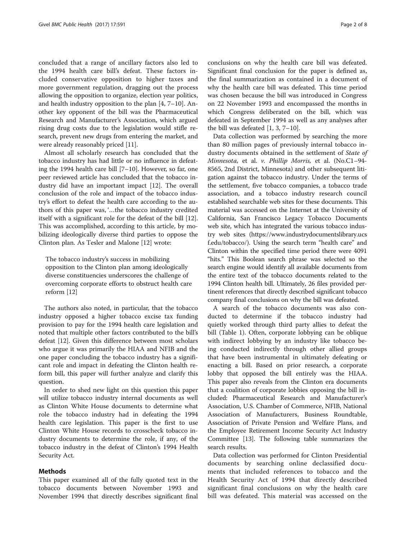concluded that a range of ancillary factors also led to the 1994 health care bill's defeat. These factors included conservative opposition to higher taxes and more government regulation, dragging out the process allowing the opposition to organize, election year politics, and health industry opposition to the plan [[4, 7](#page-6-0)–[10](#page-6-0)]. Another key opponent of the bill was the Pharmaceutical Research and Manufacturer's Association, which argued rising drug costs due to the legislation would stifle research, prevent new drugs from entering the market, and were already reasonably priced [\[11](#page-6-0)].

Almost all scholarly research has concluded that the tobacco industry has had little or no influence in defeating the 1994 health care bill [\[7](#page-6-0)–[10\]](#page-6-0). However, so far, one peer reviewed article has concluded that the tobacco industry did have an important impact [[12\]](#page-6-0). The overall conclusion of the role and impact of the tobacco industry's effort to defeat the health care according to the authors of this paper was, '…the tobacco industry credited itself with a significant role for the defeat of the bill [\[12](#page-6-0)]. This was accomplished, according to this article, by mobilizing ideologically diverse third parties to oppose the Clinton plan. As Tesler and Malone [\[12\]](#page-6-0) wrote:

The tobacco industry's success in mobilizing opposition to the Clinton plan among ideologically diverse constituencies underscores the challenge of overcoming corporate efforts to obstruct health care reform [[12\]](#page-6-0)

The authors also noted, in particular, that the tobacco industry opposed a higher tobacco excise tax funding provision to pay for the 1994 health care legislation and noted that multiple other factors contributed to the bill's defeat [[12\]](#page-6-0). Given this difference between most scholars who argue it was primarily the HIAA and NFIB and the one paper concluding the tobacco industry has a significant role and impact in defeating the Clinton health reform bill, this paper will further analyze and clarify this question.

In order to shed new light on this question this paper will utilize tobacco industry internal documents as well as Clinton White House documents to determine what role the tobacco industry had in defeating the 1994 health care legislation. This paper is the first to use Clinton White House records to crosscheck tobacco industry documents to determine the role, if any, of the tobacco industry in the defeat of Clinton's 1994 Health Security Act.

## Methods

This paper examined all of the fully quoted text in the tobacco documents between November 1993 and November 1994 that directly describes significant final conclusions on why the health care bill was defeated. Significant final conclusion for the paper is defined as, the final summarization as contained in a document of why the health care bill was defeated. This time period was chosen because the bill was introduced in Congress on 22 November 1993 and encompassed the months in which Congress deliberated on the bill, which was defeated in September 1994 as well as any analyses after the bill was defeated  $[1, 3, 7-10]$  $[1, 3, 7-10]$  $[1, 3, 7-10]$  $[1, 3, 7-10]$  $[1, 3, 7-10]$  $[1, 3, 7-10]$  $[1, 3, 7-10]$  $[1, 3, 7-10]$  $[1, 3, 7-10]$ .

Data collection was performed by searching the more than 80 million pages of previously internal tobacco industry documents obtained in the settlement of State of Minnesota, et al. v. Phillip Morris, et al. (No.C1–94- 8565, 2nd District, Minnesota) and other subsequent litigation against the tobacco industry. Under the terms of the settlement, five tobacco companies, a tobacco trade association, and a tobacco industry research council established searchable web sites for these documents. This material was accessed on the Internet at the University of California, San Francisco Legacy Tobacco Documents web site, which has integrated the various tobacco industry web sites ([https://www.industrydocumentslibrary.ucs](https://www.industrydocumentslibrary.ucsf.edu/tobacco/) [f.edu/tobacco/](https://www.industrydocumentslibrary.ucsf.edu/tobacco/)). Using the search term "health care" and Clinton within the specified time period there were 4091 "hits." This Boolean search phrase was selected so the search engine would identify all available documents from the entire text of the tobacco documents related to the 1994 Clinton health bill. Ultimately, 26 files provided pertinent references that directly described significant tobacco company final conclusions on why the bill was defeated.

A search of the tobacco documents was also conducted to determine if the tobacco industry had quietly worked through third party allies to defeat the bill (Table [1\)](#page-2-0). Often, corporate lobbying can be oblique with indirect lobbying by an industry like tobacco being conducted indirectly through other allied groups that have been instrumental in ultimately defeating or enacting a bill. Based on prior research, a corporate lobby that opposed the bill entirely was the HIAA. This paper also reveals from the Clinton era documents that a coalition of corporate lobbies opposing the bill included: Pharmaceutical Research and Manufacturer's Association, U.S. Chamber of Commerce, NFIB, National Association of Manufacturers, Business Roundtable, Association of Private Pension and Welfare Plans, and the Employee Retirement Income Security Act Industry Committee [\[13](#page-6-0)]. The following table summarizes the search results.

Data collection was performed for Clinton Presidential documents by searching online declassified documents that included references to tobacco and the Health Security Act of 1994 that directly described significant final conclusions on why the health care bill was defeated. This material was accessed on the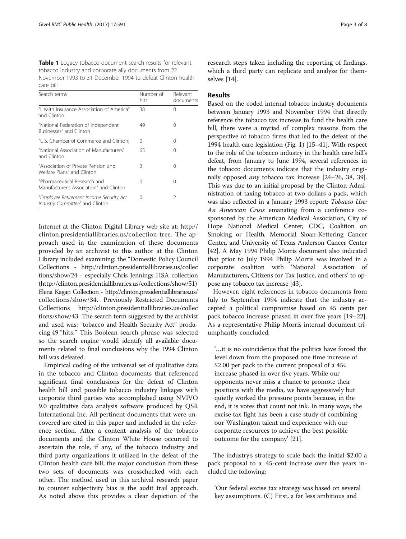<span id="page-2-0"></span>Table 1 Legacy tobacco document search results for relevant tobacco industry and corporate ally documents from 22 November 1993 to 31 December 1994 to defeat Clinton health care bill

| Search terms                                                                | Number of<br>hits | Relevant<br>documents |
|-----------------------------------------------------------------------------|-------------------|-----------------------|
| "Health Insurance Association of America"<br>and Clinton                    | 38                | 0                     |
| "National Federation of Independent<br>Businesses" and Clinton              | 49                | 0                     |
| "U.S. Chamber of Commerce and Clinton:                                      | 0                 | ∩                     |
| "National Association of Manufacturers"<br>and Clinton                      | 65                | ∩                     |
| "Association of Private Pension and<br>Welfare Plans" and Clinton           | 3                 | ∩                     |
| "Pharmaceutical Research and<br>Manufacturer's Association" and Clinton     | 0                 | $^{(1)}$              |
| "Employee Retirement Income Security Act<br>Industry Committee" and Clinton | 0                 | 2                     |

Internet at the Clinton Digital Library web site at: [http://](http://clinton.presidentiallibraries.us/collection-tree) [clinton.presidentiallibraries.us/collection-tree](http://clinton.presidentiallibraries.us/collection-tree). The approach used in the examination of these documents provided by an archivist to this author at the Clinton Library included examining: the "Domestic Policy Council Collections - [http://clinton.presidentiallibraries.us/collec](http://clinton.presidentiallibraries.us/collections/show/24) [tions/show/24](http://clinton.presidentiallibraries.us/collections/show/24) - especially Chris Jennings HSA collection (<http://clinton.presidentiallibraries.us/collections/show/51>) Elena Kagan Collection - [http://clinton.presidentiallibraries.us/](http://clinton.presidentiallibraries.us/collections/show/34) [collections/show/34.](http://clinton.presidentiallibraries.us/collections/show/34) Previously Restricted Documents Collections [http://clinton.presidentiallibraries.us/collec](http://clinton.presidentiallibraries.us/collections/show/43) [tions/show/43.](http://clinton.presidentiallibraries.us/collections/show/43) The search term suggested by the archivist and used was: "tobacco and Health Security Act" producing 49 "hits." This Boolean search phrase was selected so the search engine would identify all available documents related to final conclusions why the 1994 Clinton bill was defeated.

Empirical coding of the universal set of qualitative data in the tobacco and Clinton documents that referenced significant final conclusions for the defeat of Clinton health bill and possible tobacco industry linkages with corporate third parties was accomplished using NVIVO 9.0 qualitative data analysis software produced by QSR International Inc. All pertinent documents that were uncovered are cited in this paper and included in the reference section. After a content analysis of the tobacco documents and the Clinton White House occurred to ascertain the role, if any, of the tobacco industry and third party organizations it utilized in the defeat of the Clinton health care bill, the major conclusion from these two sets of documents was crosschecked with each other. The method used in this archival research paper to counter subjectivity bias is the audit trail approach. As noted above this provides a clear depiction of the research steps taken including the reporting of findings, which a third party can replicate and analyze for themselves [\[14](#page-6-0)].

## Results

Based on the coded internal tobacco industry documents between January 1993 and November 1994 that directly reference the tobacco tax increase to fund the health care bill, there were a myriad of complex reasons from the perspective of tobacco firms that led to the defeat of the 1994 health care legislation (Fig. 1) [[15](#page-6-0)–[41\]](#page-7-0). With respect to the role of the tobacco industry in the health care bill's defeat, from January to June 1994, several references in the tobacco documents indicate that the industry originally opposed any tobacco tax increase [\[24](#page-6-0)–[26](#page-6-0), [38](#page-7-0), [39](#page-7-0)]. This was due to an initial proposal by the Clinton Administration of taxing tobacco at two dollars a pack, which was also reflected in a January 1993 report: Tobacco Use: An American Crisis emanating from a conference cosponsored by the American Medical Association, City of Hope National Medical Center, CDC, Coalition on Smoking or Health, Memorial Sloan-Kettering Cancer Center, and University of Texas Anderson Cancer Center [[42](#page-7-0)]. A May 1994 Philip Morris document also indicated that prior to July 1994 Philip Morris was involved in a corporate coalition with 'National Association of Manufacturers, Citizens for Tax Justice, and others' to oppose any tobacco tax increase [[43](#page-7-0)].

However, eight references in tobacco documents from July to September 1994 indicate that the industry accepted a political compromise based on 45 cents per pack tobacco increase phased in over five years [[19](#page-6-0)–[22](#page-6-0)]. As a representative Philip Morris internal document triumphantly concluded:

'…it is no coincidence that the politics have forced the level down from the proposed one time increase of \$2.00 per pack to the current proposal of a 45¢ increase phased in over five years. While our opponents never miss a chance to promote their positions with the media, we have aggressively but quietly worked the pressure points because, in the end, it is votes that count not ink. In many ways, the excise tax fight has been a case study of combining our Washington talent and experience with our corporate resources to achieve the best possible outcome for the company' [\[21\]](#page-6-0).

The industry's strategy to scale back the initial \$2.00 a pack proposal to a .45-cent increase over five years included the following:

'Our federal excise tax strategy was based on several key assumptions. (C) First, a far less ambitious and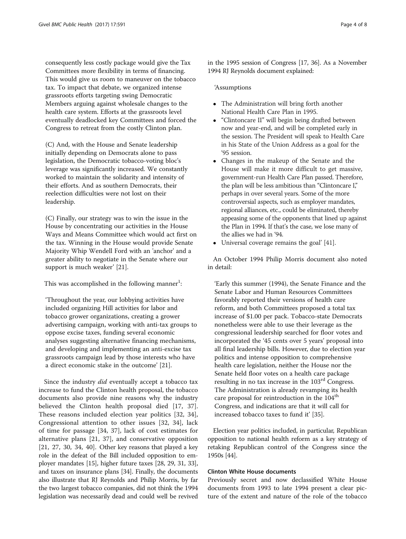consequently less costly package would give the Tax Committees more flexibility in terms of financing. This would give us room to maneuver on the tobacco tax. To impact that debate, we organized intense grassroots efforts targeting swing Democratic Members arguing against wholesale changes to the health care system. Efforts at the grassroots level eventually deadlocked key Committees and forced the Congress to retreat from the costly Clinton plan.

(C) And, with the House and Senate leadership initially depending on Democrats alone to pass legislation, the Democratic tobacco-voting bloc's leverage was significantly increased. We constantly worked to maintain the solidarity and intensity of their efforts. And as southern Democrats, their reelection difficulties were not lost on their leadership.

(C) Finally, our strategy was to win the issue in the House by concentrating our activities in the House Ways and Means Committee which would act first on the tax. Winning in the House would provide Senate Majority Whip Wendell Ford with an 'anchor' and a greater ability to negotiate in the Senate where our support is much weaker' [\[21](#page-6-0)].

This was accomplished in the following manner<sup>1</sup>:

'Throughout the year, our lobbying activities have included organizing Hill activities for labor and tobacco grower organizations, creating a grower advertising campaign, working with anti-tax groups to oppose excise taxes, funding several economic analyses suggesting alternative financing mechanisms, and developing and implementing an anti-excise tax grassroots campaign lead by those interests who have a direct economic stake in the outcome' [\[21](#page-6-0)].

Since the industry *did* eventually accept a tobacco tax increase to fund the Clinton health proposal, the tobacco documents also provide nine reasons why the industry believed the Clinton health proposal died [\[17](#page-6-0), [37](#page-7-0)]. These reasons included election year politics [\[32](#page-7-0), [34](#page-7-0)], Congressional attention to other issues [\[32](#page-7-0), [34\]](#page-7-0), lack of time for passage [\[34](#page-7-0), [37\]](#page-7-0), lack of cost estimates for alternative plans [\[21](#page-6-0), [37\]](#page-7-0), and conservative opposition [[21,](#page-6-0) [27, 30](#page-7-0), [34, 40](#page-7-0)]. Other key reasons that played a key role in the defeat of the Bill included opposition to employer mandates [\[15](#page-6-0)], higher future taxes [[28](#page-7-0), [29](#page-7-0), [31](#page-7-0), [33](#page-7-0)], and taxes on insurance plans [[34](#page-7-0)]. Finally, the documents also illustrate that RJ Reynolds and Philip Morris, by far the two largest tobacco companies, did not think the 1994 legislation was necessarily dead and could well be revived

in the 1995 session of Congress [\[17,](#page-6-0) [36\]](#page-7-0). As a November 1994 RJ Reynolds document explained:

## 'Assumptions

- The Administration will bring forth another National Health Care Plan in 1995.
- "Clintoncare II" will begin being drafted between now and year-end, and will be completed early in the session. The President will speak to Health Care in his State of the Union Address as a goal for the '95 session.
- Changes in the makeup of the Senate and the House will make it more difficult to get massive, government-run Health Care Plan passed. Therefore, the plan will be less ambitious than "Clintoncare I," perhaps in over several years. Some of the more controversial aspects, such as employer mandates, regional alliances, etc., could be eliminated, thereby appeasing some of the opponents that lined up against the Plan in 1994. If that's the case, we lose many of the allies we had in '94.
- Universal coverage remains the goal' [\[41\]](#page-7-0).

An October 1994 Philip Morris document also noted in detail:

'Early this summer (1994), the Senate Finance and the Senate Labor and Human Resources Committees favorably reported their versions of health care reform, and both Committees proposed a total tax increase of \$1.00 per pack. Tobacco-state Democrats nonetheless were able to use their leverage as the congressional leadership searched for floor votes and incorporated the '45 cents over 5 years' proposal into all final leadership bills. However, due to election year politics and intense opposition to comprehensive health care legislation, neither the House nor the Senate held floor votes on a health care package resulting in no tax increase in the 103<sup>rd</sup> Congress. The Administration is already revamping its health care proposal for reintroduction in the 104<sup>th</sup> Congress, and indications are that it will call for increased tobacco taxes to fund it' [\[35\]](#page-7-0).

Election year politics included, in particular, Republican opposition to national health reform as a key strategy of retaking Republican control of the Congress since the 1950s [\[44](#page-7-0)].

## Clinton White House documents

Previously secret and now declassified White House documents from 1993 to late 1994 present a clear picture of the extent and nature of the role of the tobacco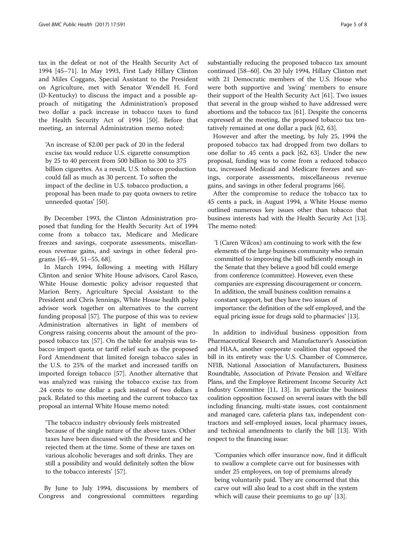tax in the defeat or not of the Health Security Act of 1994 [[45](#page-7-0)–[71](#page-7-0)]. In May 1993, First Lady Hillary Clinton and Miles Coggans, Special Assistant to the President on Agriculture, met with Senator Wendell H. Ford (D-Kentucky) to discuss the impact and a possible approach of mitigating the Administration's proposed two dollar a pack increase in tobacco taxes to fund the Health Security Act of 1994 [\[50](#page-7-0)]. Before that meeting, an internal Administration memo noted:

'An increase of \$2.00 per pack of 20 in the federal excise tax would reduce U.S. cigarette consumption by 25 to 40 percent from 500 billion to 300 to 375 billion cigarettes. As a result, U.S. tobacco production could fall as much as 30 percent. To soften the impact of the decline in U.S. tobacco production, a proposal has been made to pay quota owners to retire unneeded quotas' [[50](#page-7-0)].

By December 1993, the Clinton Administration proposed that funding for the Health Security Act of 1994 come from a tobacco tax, Medicare and Medicare freezes and savings, corporate assessments, miscellaneous revenue gains, and savings in other federal programs [[45](#page-7-0)–[49](#page-7-0), [51](#page-7-0)–[55, 68\]](#page-7-0).

In March 1994, following a meeting with Hillary Clinton and senior White House advisors, Carol Rasco, White House domestic policy advisor requested that Marion Berry, Agriculture Special Assistant to the President and Chris Jennings, White House health policy advisor work together on alternatives to the current funding proposal [[57](#page-7-0)]. The purpose of this was to review Administration alternatives in light of members of Congress raising concerns about the amount of the proposed tobacco tax [\[57](#page-7-0)]. On the table for analysis was tobacco import quota or tariff relief such as the proposed Ford Amendment that limited foreign tobacco sales in the U.S. to 25% of the market and increased tariffs on imported foreign tobacco [\[57](#page-7-0)]. Another alternative that was analyzed was raising the tobacco excise tax from .24 cents to one dollar a pack instead of two dollars a pack. Related to this meeting and the current tobacco tax proposal an internal White House memo noted:

'The tobacco industry obviously feels mistreated because of the single nature of the above taxes. Other taxes have been discussed with the President and he rejected them at the time. Some of these are taxes on various alcoholic beverages and soft drinks. They are still a possibility and would definitely soften the blow to the tobacco interests' [[57\]](#page-7-0).

By June to July 1994, discussions by members of Congress and congressional committees regarding

substantially reducing the proposed tobacco tax amount continued [[58](#page-7-0)–[60\]](#page-7-0). On 20 July 1994, Hillary Clinton met with 21 Democratic members of the U.S. House who were both supportive and 'swing' members to ensure their support of the Health Security Act [\[61](#page-7-0)]. Two issues that several in the group wished to have addressed were abortions and the tobacco tax [[61\]](#page-7-0). Despite the concerns expressed at the meeting, the proposed tobacco tax tentatively remained at one dollar a pack [\[62](#page-7-0), [63\]](#page-7-0).

However and after the meeting, by July 25, 1994 the proposed tobacco tax had dropped from two dollars to one dollar to .45 cents a pack [[62, 63\]](#page-7-0). Under the new proposal, funding was to come from a reduced tobacco tax, increased Medicaid and Medicare freezes and savings, corporate assessments, miscellaneous revenue gains, and savings in other federal programs [[66\]](#page-7-0).

After the compromise to reduce the tobacco tax to 45 cents a pack, in August 1994, a White House memo outlined numerous key issues other than tobacco that business interests had with the Health Security Act [[13](#page-6-0)]. The memo noted:

'I (Caren Wilcox) am continuing to work with the few elements of the large business community who remain committed to improving the bill sufficiently enough in the Senate that they believe a good bill could emerge from conference (committee). However, even these companies are expressing discouragement or concern. In addition, the small business coalition remains a constant support, but they have two issues of importance: the definition of the self employed, and the equal pricing issue for drugs sold to pharmacies' [\[13\]](#page-6-0).

In addition to individual business opposition from Pharmaceutical Research and Manufacturer's Association and HIAA, another corporate coalition that opposed the bill in its entirety was: the U.S. Chamber of Commerce, NFIB, National Association of Manufacturers, Business Roundtable, Association of Private Pension and Welfare Plans, and the Employee Retirement Income Security Act Industry Committee [[11](#page-6-0), [13\]](#page-6-0). In particular the business coalition opposition focused on several issues with the bill including financing, multi-state issues, cost containment and managed care, cafeteria plans tax, independent contractors and self-employed issues, local pharmacy issues, and technical amendments to clarify the bill [[13](#page-6-0)]. With respect to the financing issue:

'Companies which offer insurance now, find it difficult to swallow a complete carve out for businesses with under 25 employees, on top of premiums already being voluntarily paid. They are concerned that this carve out will also lead to a cost shift in the system which will cause their premiums to go up' [[13](#page-6-0)].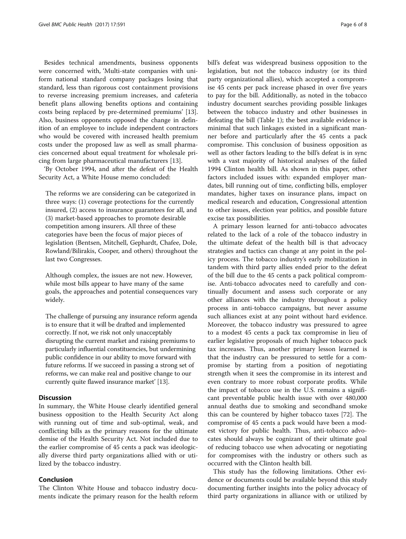Besides technical amendments, business opponents were concerned with, 'Multi-state companies with uniform national standard company packages losing that standard, less than rigorous cost containment provisions to reverse increasing premium increases, and cafeteria benefit plans allowing benefits options and containing costs being replaced by pre-determined premiums' [\[13](#page-6-0)]. Also, business opponents opposed the change in definition of an employee to include independent contractors who would be covered with increased health premium costs under the proposed law as well as small pharmacies concerned about equal treatment for wholesale pricing from large pharmaceutical manufacturers [[13](#page-6-0)].

'By October 1994, and after the defeat of the Health Security Act, a White House memo concluded:

The reforms we are considering can be categorized in three ways: (1) coverage protections for the currently insured, (2) access to insurance guarantees for all, and (3) market-based approaches to promote desirable competition among insurers. All three of these categories have been the focus of major pieces of legislation (Bentsen, Mitchell, Gephardt, Chafee, Dole, Rowland/Bilirakis, Cooper, and others) throughout the last two Congresses.

Although complex, the issues are not new. However, while most bills appear to have many of the same goals, the approaches and potential consequences vary widely.

The challenge of pursuing any insurance reform agenda is to ensure that it will be drafted and implemented correctly. If not, we risk not only unacceptably disrupting the current market and raising premiums to particularly influential constituencies, but undermining public confidence in our ability to move forward with future reforms. If we succeed in passing a strong set of reforms, we can make real and positive change to our currently quite flawed insurance market' [[13](#page-6-0)].

## **Discussion**

In summary, the White House clearly identified general business opposition to the Health Security Act along with running out of time and sub-optimal, weak, and conflicting bills as the primary reasons for the ultimate demise of the Health Security Act. Not included due to the earlier compromise of 45 cents a pack was ideologically diverse third party organizations allied with or utilized by the tobacco industry.

## Conclusion

The Clinton White House and tobacco industry documents indicate the primary reason for the health reform bill's defeat was widespread business opposition to the legislation, but not the tobacco industry (or its third party organizational allies), which accepted a compromise 45 cents per pack increase phased in over five years to pay for the bill. Additionally, as noted in the tobacco industry document searches providing possible linkages between the tobacco industry and other businesses in defeating the bill (Table [1\)](#page-2-0); the best available evidence is minimal that such linkages existed in a significant manner before and particularly after the 45 cents a pack compromise. This conclusion of business opposition as well as other factors leading to the bill's defeat is in sync with a vast majority of historical analyses of the failed 1994 Clinton health bill. As shown in this paper, other factors included issues with: expanded employer mandates, bill running out of time, conflicting bills, employer mandates, higher taxes on insurance plans, impact on medical research and education, Congressional attention to other issues, election year politics, and possible future excise tax possibilities.

A primary lesson learned for anti-tobacco advocates related to the lack of a role of the tobacco industry in the ultimate defeat of the health bill is that advocacy strategies and tactics can change at any point in the policy process. The tobacco industry's early mobilization in tandem with third party allies ended prior to the defeat of the bill due to the 45 cents a pack political compromise. Anti-tobacco advocates need to carefully and continually document and assess such corporate or any other alliances with the industry throughout a policy process in anti-tobacco campaigns, but never assume such alliances exist at any point without hard evidence. Moreover, the tobacco industry was pressured to agree to a modest 45 cents a pack tax compromise in lieu of earlier legislative proposals of much higher tobacco pack tax increases. Thus, another primary lesson learned is that the industry can be pressured to settle for a compromise by starting from a position of negotiating strength when it sees the compromise in its interest and even contrary to more robust corporate profits. While the impact of tobacco use in the U.S. remains a significant preventable public health issue with over 480,000 annual deaths due to smoking and secondhand smoke this can be countered by higher tobacco taxes [[72\]](#page-7-0). The compromise of 45 cents a pack would have been a modest victory for public health. Thus, anti-tobacco advocates should always be cognizant of their ultimate goal of reducing tobacco use when advocating or negotiating for compromises with the industry or others such as occurred with the Clinton health bill.

This study has the following limitations. Other evidence or documents could be available beyond this study documenting further insights into the policy advocacy of third party organizations in alliance with or utilized by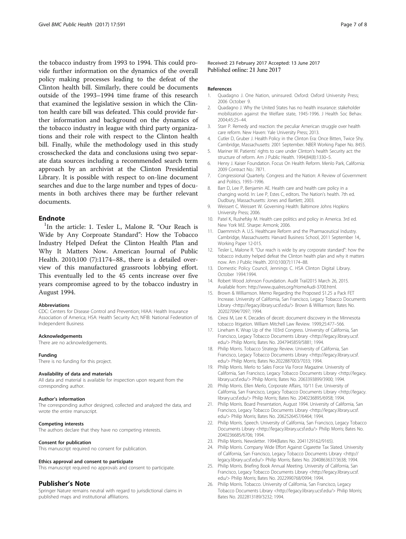<span id="page-6-0"></span>the tobacco industry from 1993 to 1994. This could provide further information on the dynamics of the overall policy making processes leading to the defeat of the Clinton health bill. Similarly, there could be documents outside of the 1993–1994 time frame of this research that examined the legislative session in which the Clinton health care bill was defeated. This could provide further information and background on the dynamics of the tobacco industry in league with third party organizations and their role with respect to the Clinton health bill. Finally, while the methodology used in this study crosschecked the data and conclusions using two separate data sources including a recommended search term approach by an archivist at the Clinton Presidential Library. It is possible with respect to on-line document searches and due to the large number and types of documents in both archives there may be further relevant documents.

## **Endnote**

<sup>1</sup>In the article: 1. Tesler L, Malone R. "Our Reach is Wide by Any Corproate Standard": How the Tobacco Industry Helped Defeat the Clinton Health Plan and Why It Matters Now. American Journal of Public Health. 2010;100 (7):1174–88., there is a detailed overview of this manufactured grassroots lobbying effort. This eventually led to the 45 cents increase over five years compromise agreed to by the tobacco industry in August 1994.

#### Abbreviations

CDC: Centers for Disease Control and Prevention; HIAA: Health Insurance Association of America; HSA: Health Security Act; NFIB: National Federation of Independent Business

#### Acknowledgements

There are no acknowledgements.

#### Funding

There is no funding for this project.

#### Availability of data and materials

All data and material is available for inspection upon request from the corresponding author.

#### Author's information

The corresponding author designed, collected and analyzed the data, and wrote the entire manuscript.

#### Competing interests

The authors declare that they have no competing interests.

#### Consent for publication

This manuscript required no consent for publication.

#### Ethics approval and consent to participate

This manuscript required no approvals and consent to participate.

#### Publisher's Note

Springer Nature remains neutral with regard to jurisdictional claims in published maps and institutional affiliations.

Received: 23 February 2017 Accepted: 13 June 2017 Published online: 21 June 2017

#### References

- 1. Quadagno J. One Nation, uninsured. Oxford: Oxford University Press; 2006 October 9.
- 2. Quadagno J. Why the United States has no health insurance: stakeholder mobilization against the Welfare state, 1945-1996. J Health Soc Behav. 2004;45:25–44.
- 3. Starr P. Remedy and reaction: the peculiar American struggle over health care reform. New Haven: Yale University Press; 2013.
- 4. Cutler D, Gruber J. Health Policy in the Clinton Era: Once Bitten, Twice Shy. Cambridge, Massachusetts: 2001 September. NBER Working Paper No. 8455.
- 5. Mariner W. Patients' rights to care under Clinton's health Security act: the structure of reform. Am J Public Health. 1994;84(8):1330–5.
- 6. Henry J. Kaiser Foundation. Focus On Health Reform. Menlo Park, California: 2009 Contract No. 7871
- 7. Congressional Quarterly. Congress and the Nation: A Review of Government and Politics. 1993–1996.
- 8. Barr D, Lee P, Benjamin AE. Health care and health care policy in a changing world. In: Lee P, Estes C, editors. The Nation's health. 7th ed. Dudbury, Massachusetts: Jones and Bartlett; 2003.
- 9. Weissert C. Weissert W. Governing Health: Baltimore Johns Hopkins University Press; 2006.
- 10. Patel K, Rushefsky M. Health care politics and policy in America. 3rd ed. New York M.E. Sharpe: Armonk: 2006.
- 11. Daemmrich A. U.S. Healthcare Reform and the Pharmaceutical Industry. Cambridge, Massachusetts: Harvard Business School, 2011 September 14,. Working Paper 12-015.
- 12. Tesler L, Malone R. "Our reach is wide by any corporate standard": how the tobacco industry helped defeat the Clinton health plan and why it matters now. Am J Public Health. 2010;100(7):1174–88.
- 13. Domestic Policy Council, Jennings C. HSA Clinton Digital Library. October 1994:1994.
- 14. Robert Wood Johnson Foundation. Audit Trail2015 March 26, 2015. Available from:<http://www.qualres.org/HomeAudi-3700.html>.
- 15. Brown & Williamson. Memo Regarding the Proposed \$1.25 a Pack FET Increase. University of California, San Francisco, Legacy Tobacco Documents Library [<http://legacy.library.ucsf.edu/>](http://legacy.library.ucsf.edu/) Brown & Williamson; Bates No. 202027094/7097; 1994.
- 16. Ciresi M, Lee K. Decades of deceit: document discovery in the Minnesota tobacco litigation. William Mitchell Law Review. 1999;25:477–566.
- 17. Lineham K. Wrap Up of the 103rd Congress. University of California, San Francisco, Legacy Tobacco Documents Library [<http://legacy.library.ucsf.](http://legacy.library.ucsf.edu/) [edu/](http://legacy.library.ucsf.edu/)> Philip Morris; Bates No. 2047945859/5881; 1994.
- 18. Philip Morris. Tobacco Strategy Review. University of California, San Francisco, Legacy Tobacco Documents Library [<http://legacy.library.ucsf.](http://legacy.library.ucsf.edu/) [edu/](http://legacy.library.ucsf.edu/)> Philip Morris; Bates No.2022887003/7033; 1994.
- 19. Philip Morris. Merlo to Sales Force Via Force Magazine. University of California, San Francisco, Legacy Tobacco Documents Library [<http://legacy.](http://legacy.library.ucsf.edu/) [library.ucsf.edu/](http://legacy.library.ucsf.edu/)> Philip Morris; Bates No. 2063393899/3900; 1994.
- 20. Philip Morris. Ellen Merlo, Corporate Affairs, 10/11 Eve. University of California, San Francisco, Legacy Tobacco Documents Library [<http://legacy.](http://legacy.library.ucsf.edu/) [library.ucsf.edu/](http://legacy.library.ucsf.edu/)> Philip Morris; Bates No. 2040236895/6958; 1994.
- 21. Philip Morris. Board Presentation, August 1994. University of California, San Francisco, Legacy Tobacco Documents Library [<http://legacy.library.ucsf.](http://legacy.library.ucsf.edu/) [edu/](http://legacy.library.ucsf.edu/)> Philip Morris; Bates No. 2062526457/6464; 1994.
- 22. Philip Morris. Speech. University of California, San Francisco, Legacy Tobacco Documents Library [<http://legacy.library.ucsf.edu/>](http://legacy.library.ucsf.edu/) Philip Morris; Bates No. 2040236685/6706; 1994.
- 23. Philip Morris. Newsletter. 1994(Bates No. 2041129162/9165).
- 24. Philip Morris. Company Wide Effort Against Cigarette Tax Slated. University of California, San Francisco, Legacy Tobacco Documents Library <[http://](http://legacy.library.ucsf.edu/) [legacy.library.ucsf.edu/](http://legacy.library.ucsf.edu/)> Philip Morris; Bates No. 2040863637/3638; 1994.
- 25. Philip Morris. Briefing Book Annual Meeting. University of California, San Francisco, Legacy Tobacco Documents Library [<http://legacy.library.ucsf.](http://legacy.library.ucsf.edu/) [edu/](http://legacy.library.ucsf.edu/)> Philip Morris; Bates No. 2022990768/0994; 1994.
- 26. Philip Morris. Tobacco. University of California, San Francisco, Legacy Tobacco Documents Library [<http://legacy.library.ucsf.edu/](http://legacy.library.ucsf.edu/)> Philip Morris; Bates No. 2022813189/3232; 1994.